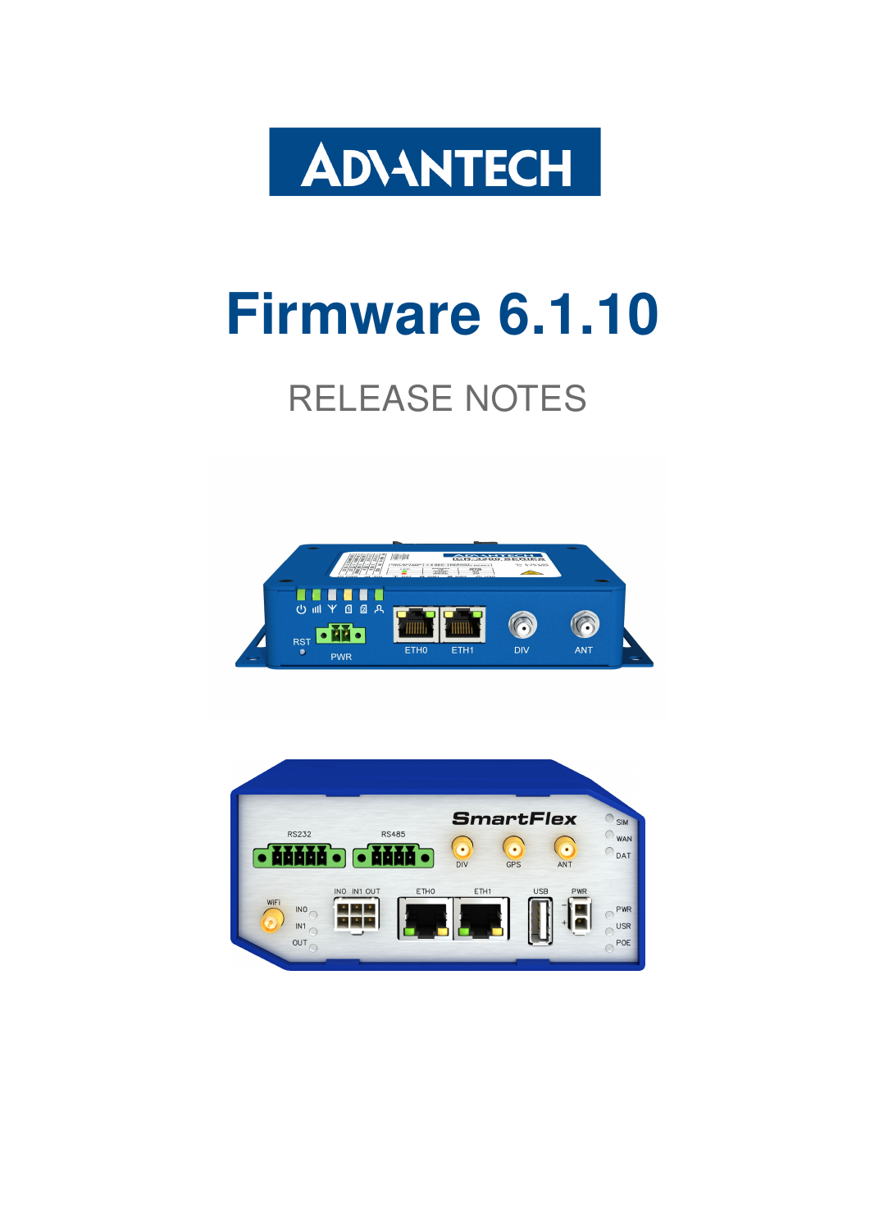

# Firmware 6.1.10

# RELEASE NOTES



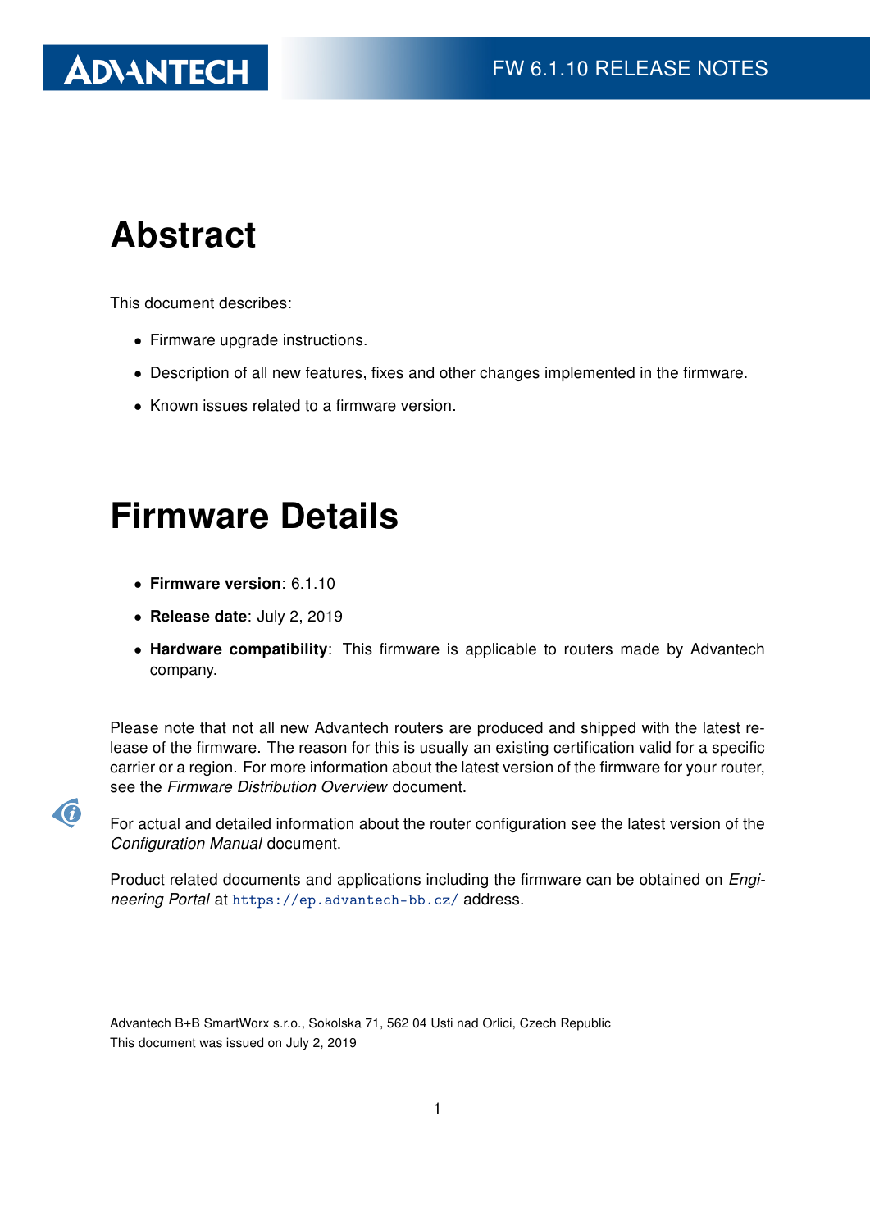# Abstract

This document describes:

- Firmware upgrade instructions.
- Description of all new features, fixes and other changes implemented in the firmware.
- Known issues related to a firmware version.

### Firmware Details

- Firmware version: 6.1.10
- Release date: July 2, 2019
- Hardware compatibility: This firmware is applicable to routers made by Advantech company.

Please note that not all new Advantech routers are produced and shipped with the latest release of the firmware. The reason for this is usually an existing certification valid for a specific carrier or a region. For more information about the latest version of the firmware for your router, see the Firmware Distribution Overview document.



For actual and detailed information about the router configuration see the latest version of the Configuration Manual document.

Product related documents and applications including the firmware can be obtained on *Engi*neering Portal at <https://ep.advantech-bb.cz/> address.

Advantech B+B SmartWorx s.r.o., Sokolska 71, 562 04 Usti nad Orlici, Czech Republic This document was issued on July 2, 2019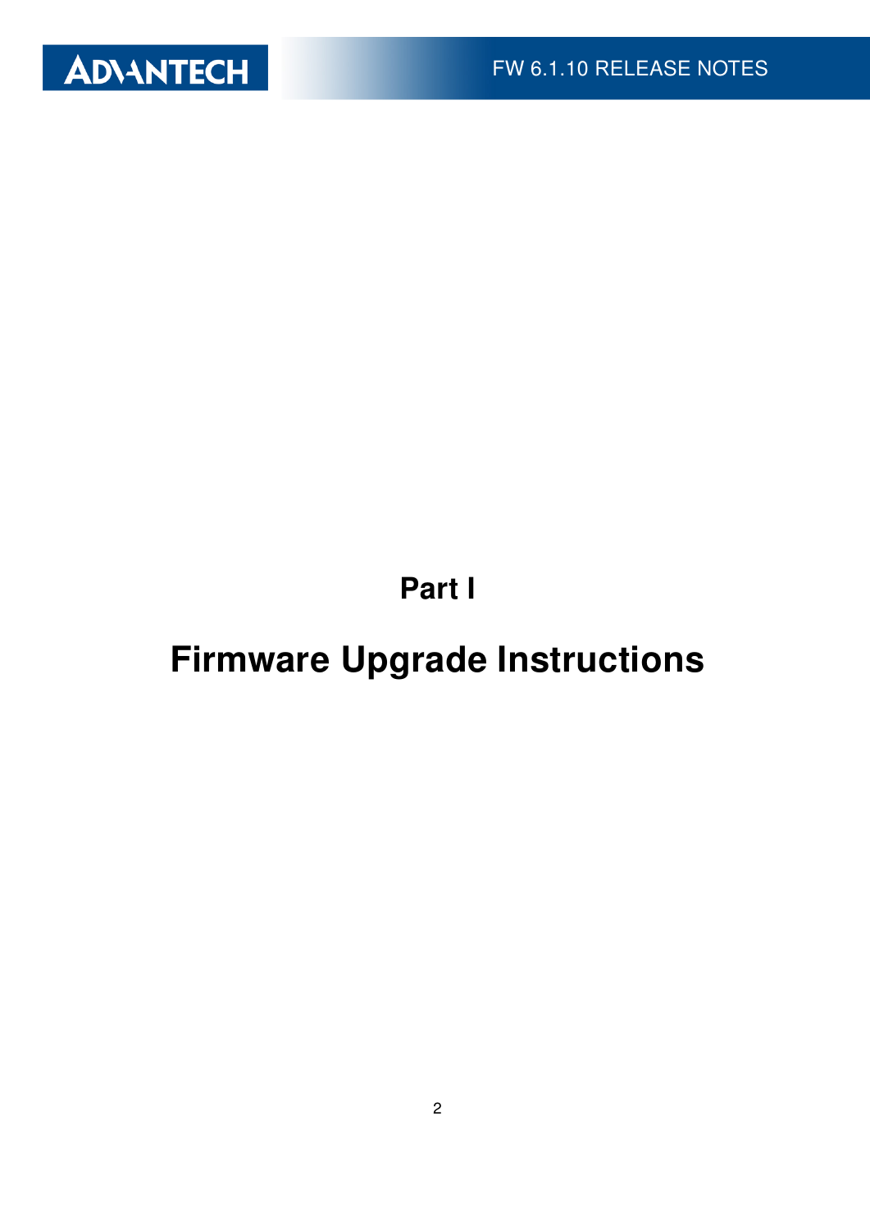

Part I

# <span id="page-2-0"></span>Firmware Upgrade Instructions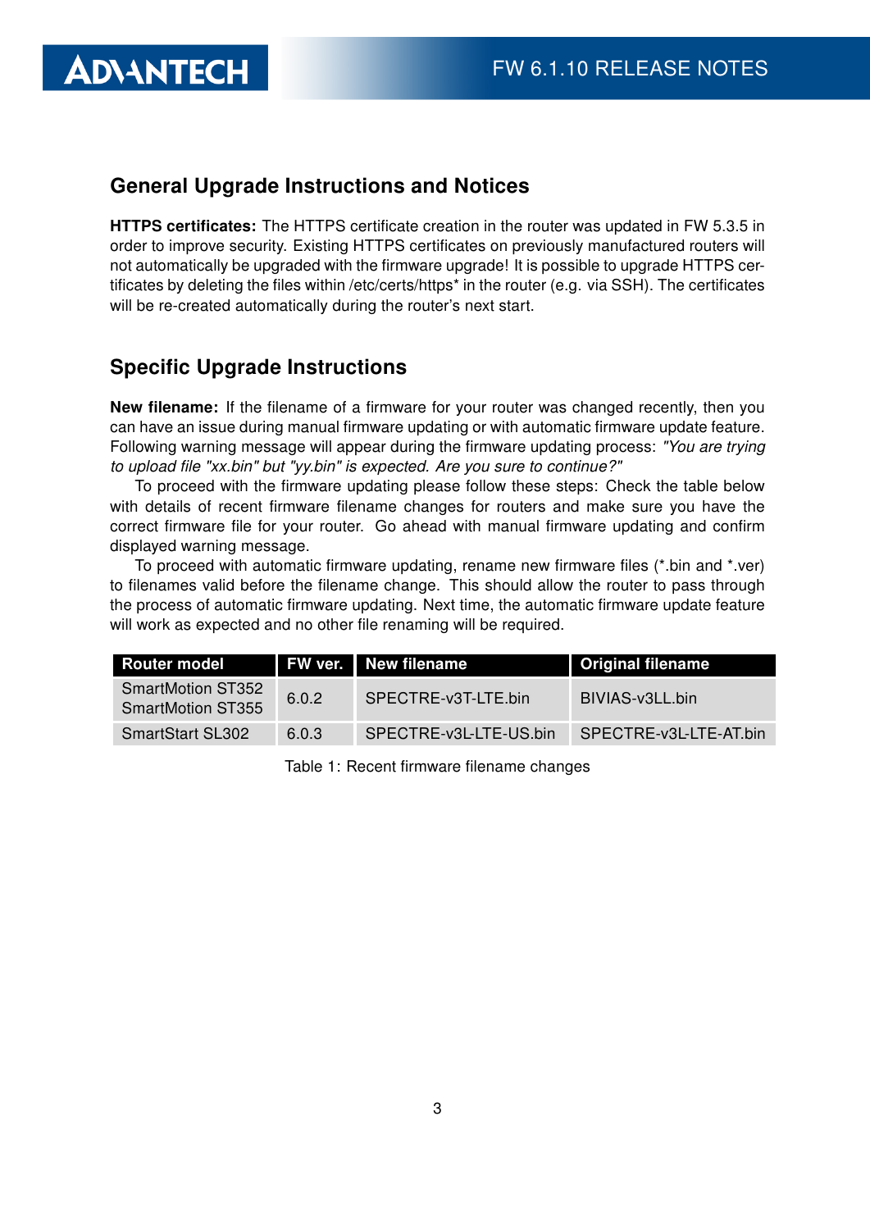### General Upgrade Instructions and Notices

HTTPS certificates: The HTTPS certificate creation in the router was updated in FW 5.3.5 in order to improve security. Existing HTTPS certificates on previously manufactured routers will not automatically be upgraded with the firmware upgrade! It is possible to upgrade HTTPS certificates by deleting the files within /etc/certs/https\* in the router (e.g. via SSH). The certificates will be re-created automatically during the router's next start.

#### Specific Upgrade Instructions

**ADIANTECH** 

New filename: If the filename of a firmware for your router was changed recently, then you can have an issue during manual firmware updating or with automatic firmware update feature. Following warning message will appear during the firmware updating process: "You are trying to upload file "xx.bin" but "yy.bin" is expected. Are you sure to continue?"

To proceed with the firmware updating please follow these steps: Check the table below with details of recent firmware filename changes for routers and make sure you have the correct firmware file for your router. Go ahead with manual firmware updating and confirm displayed warning message.

To proceed with automatic firmware updating, rename new firmware files (\*.bin and \*.ver) to filenames valid before the filename change. This should allow the router to pass through the process of automatic firmware updating. Next time, the automatic firmware update feature will work as expected and no other file renaming will be required.

| <b>Router model</b>                           |       | <b>FW ver.</b> New filename | <b>Original filename</b> |
|-----------------------------------------------|-------|-----------------------------|--------------------------|
| SmartMotion ST352<br><b>SmartMotion ST355</b> | 6.0.2 | SPECTRE-v3T-LTE.bin         | BIVIAS-v3LL.bin          |
| <b>SmartStart SL302</b>                       | 6.0.3 | SPECTRE-v3L-LTE-US.bin      | SPECTRE-v3L-LTE-AT.bin   |

Table 1: Recent firmware filename changes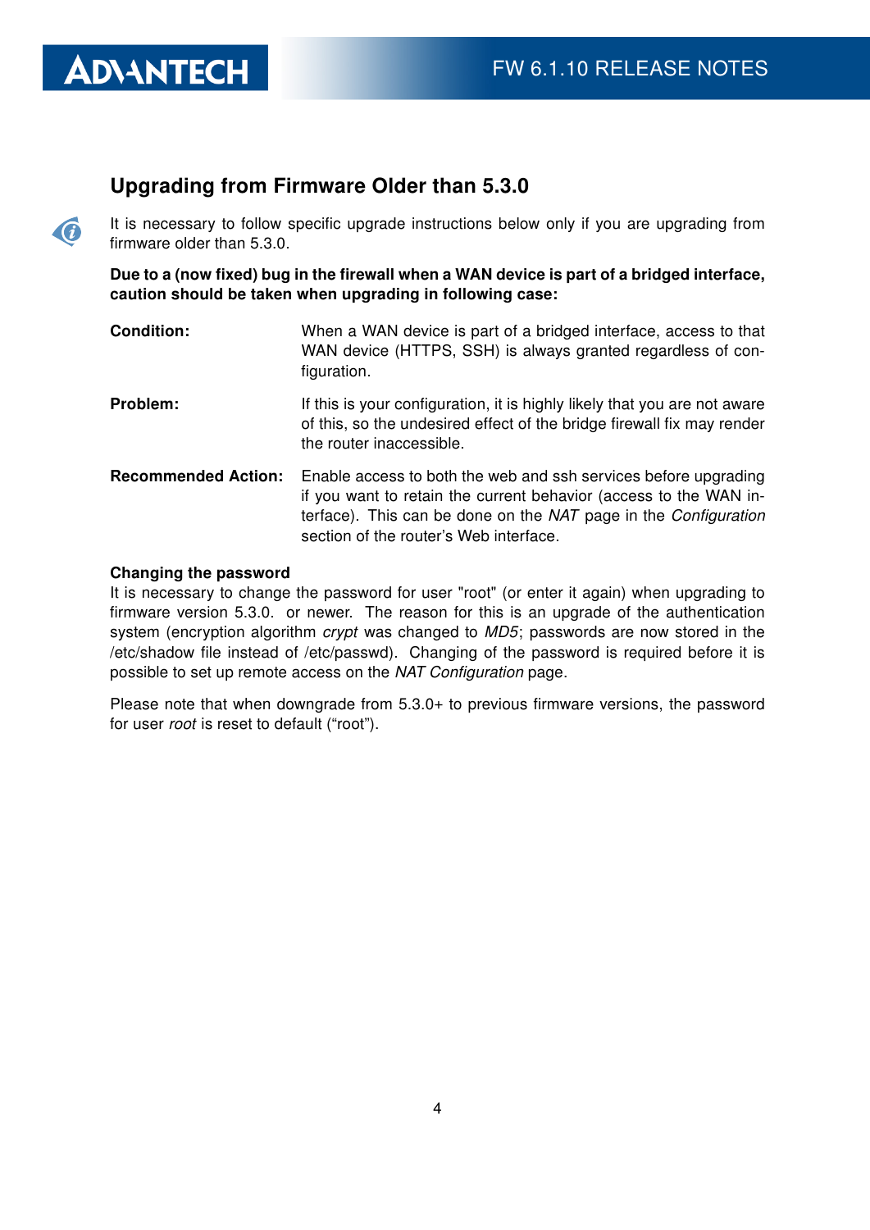$\bullet$ 

#### Upgrading from Firmware Older than 5.3.0

It is necessary to follow specific upgrade instructions below only if you are upgrading from firmware older than 5.3.0.

Due to a (now fixed) bug in the firewall when a WAN device is part of a bridged interface, caution should be taken when upgrading in following case:

| <b>Condition:</b>          | When a WAN device is part of a bridged interface, access to that<br>WAN device (HTTPS, SSH) is always granted regardless of con-<br>figuration.                                                                                                   |
|----------------------------|---------------------------------------------------------------------------------------------------------------------------------------------------------------------------------------------------------------------------------------------------|
| Problem:                   | If this is your configuration, it is highly likely that you are not aware<br>of this, so the undesired effect of the bridge firewall fix may render<br>the router inaccessible.                                                                   |
| <b>Recommended Action:</b> | Enable access to both the web and ssh services before upgrading<br>if you want to retain the current behavior (access to the WAN in-<br>terface). This can be done on the NAT page in the Configuration<br>section of the router's Web interface. |

#### Changing the password

It is necessary to change the password for user "root" (or enter it again) when upgrading to firmware version 5.3.0. or newer. The reason for this is an upgrade of the authentication system (encryption algorithm *crypt* was changed to MD5; passwords are now stored in the /etc/shadow file instead of /etc/passwd). Changing of the password is required before it is possible to set up remote access on the NAT Configuration page.

Please note that when downgrade from 5.3.0+ to previous firmware versions, the password for user root is reset to default ("root").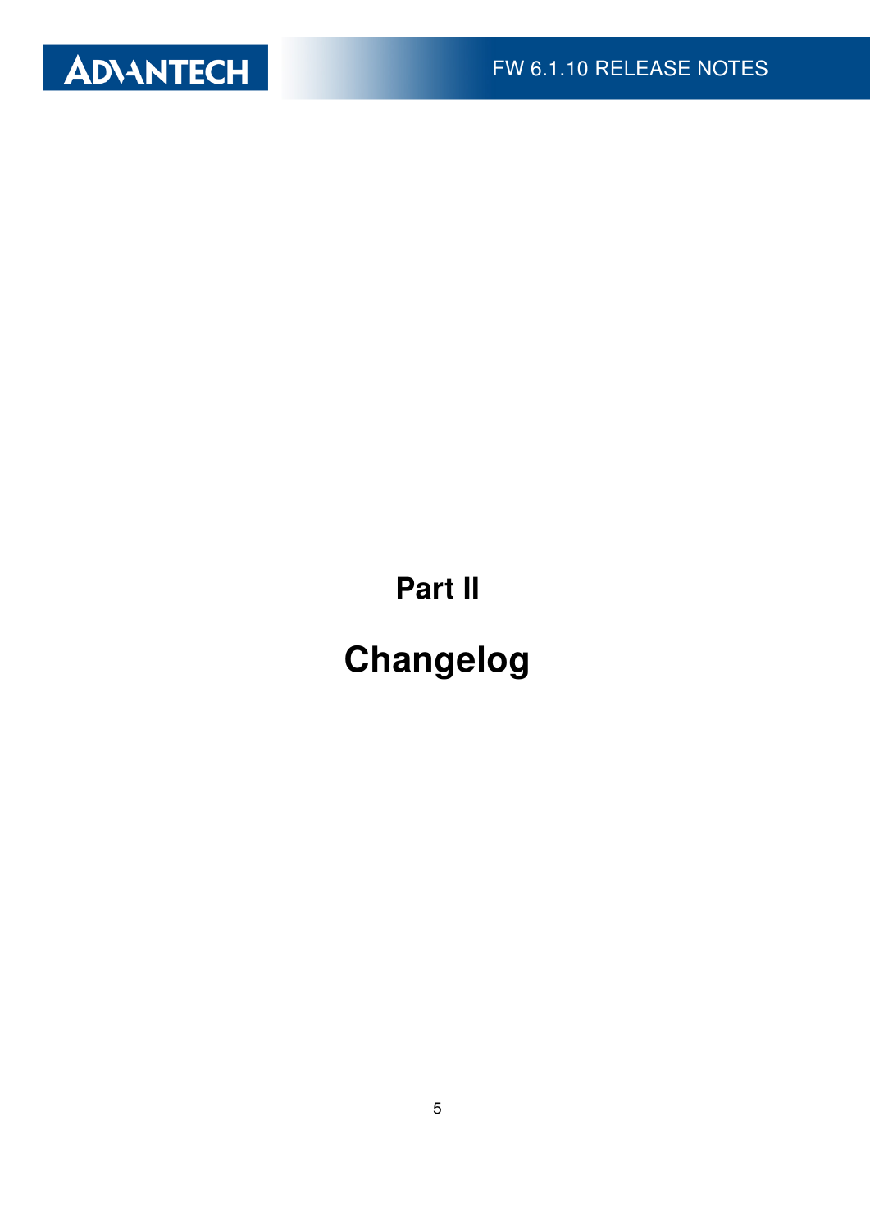

Part II

# Changelog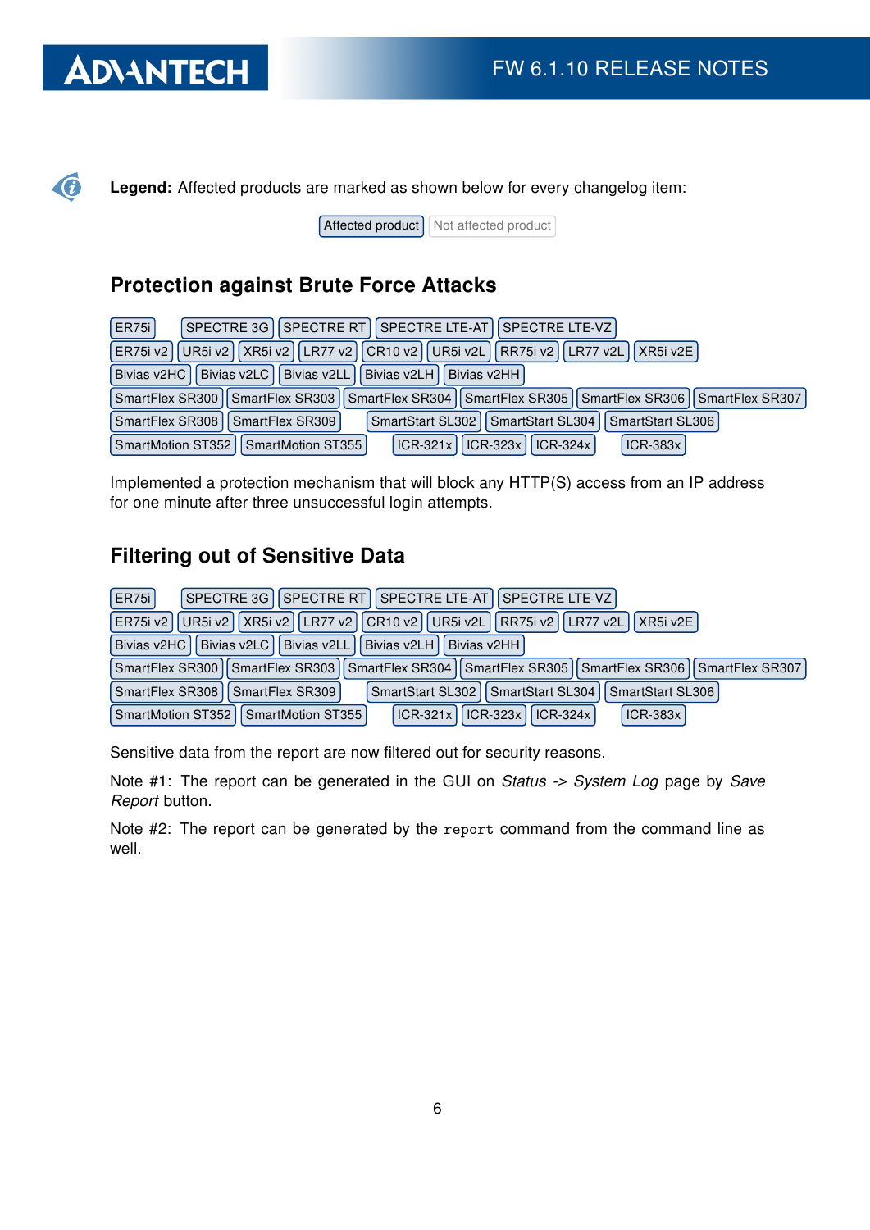$\bigcirc$ 

Legend: Affected products are marked as shown below for every changelog item:

Affected product Not affected product

### Protection against Brute Force Attacks

| <b>ER75i</b><br>SPECTRE 3G   SPECTRE RT   SPECTRE LTE-AT   SPECTRE LTE-VZ                                 |
|-----------------------------------------------------------------------------------------------------------|
| ER75i v2   UR5i v2   XR5i v2   LR77 v2   CR10 v2   UR5i v2L   RR75i v2   LR77 v2L   XR5i v2E              |
| Bivias v2HC   Bivias v2LC   Bivias v2LL   Bivias v2LH   Bivias v2HH                                       |
| SmartFlex SR300   SmartFlex SR303   SmartFlex SR304   SmartFlex SR305   SmartFlex SR306   SmartFlex SR307 |
| SmartStart SL302   SmartStart SL304   SmartStart SL306  <br>SmartFlex SR308   SmartFlex SR309             |
| ICR-321x    ICR-323x    ICR-324x  <br><b>ICR-383x</b><br>SmartMotion ST352   SmartMotion ST355            |

Implemented a protection mechanism that will block any HTTP(S) access from an IP address for one minute after three unsuccessful login attempts.

### Filtering out of Sensitive Data

| SPECTRE 3G   SPECTRE RT   SPECTRE LTE-AT   SPECTRE LTE-VZ  <br><b>ER75i</b>                                      |
|------------------------------------------------------------------------------------------------------------------|
| ER75i v2   UR5i v2   XR5i v2   LR77 v2   CR10 v2   UR5i v2L   RR75i v2   LR77 v2L   XR5i v2E                     |
| Bivias v2LC   Bivias v2LL  <br>Bivias v2HC<br>Bivias v2LH<br><b>Bivias v2HH</b>                                  |
| SmartFlex SR303    SmartFlex SR304    SmartFlex SR305    SmartFlex SR306    SmartFlex SR307  <br>SmartFlex SR300 |
| SmartFlex SR308<br>SmartStart SL302   SmartStart SL304   SmartStart SL306  <br>SmartFlex SR309                   |
| ICR-323x   ICR-324x<br>$ICR-383x$<br>SmartMotion ST352   SmartMotion ST355  <br>$ICR-321x$                       |

Sensitive data from the report are now filtered out for security reasons.

Note #1: The report can be generated in the GUI on Status -> System Log page by Save Report button.

Note #2: The report can be generated by the report command from the command line as well.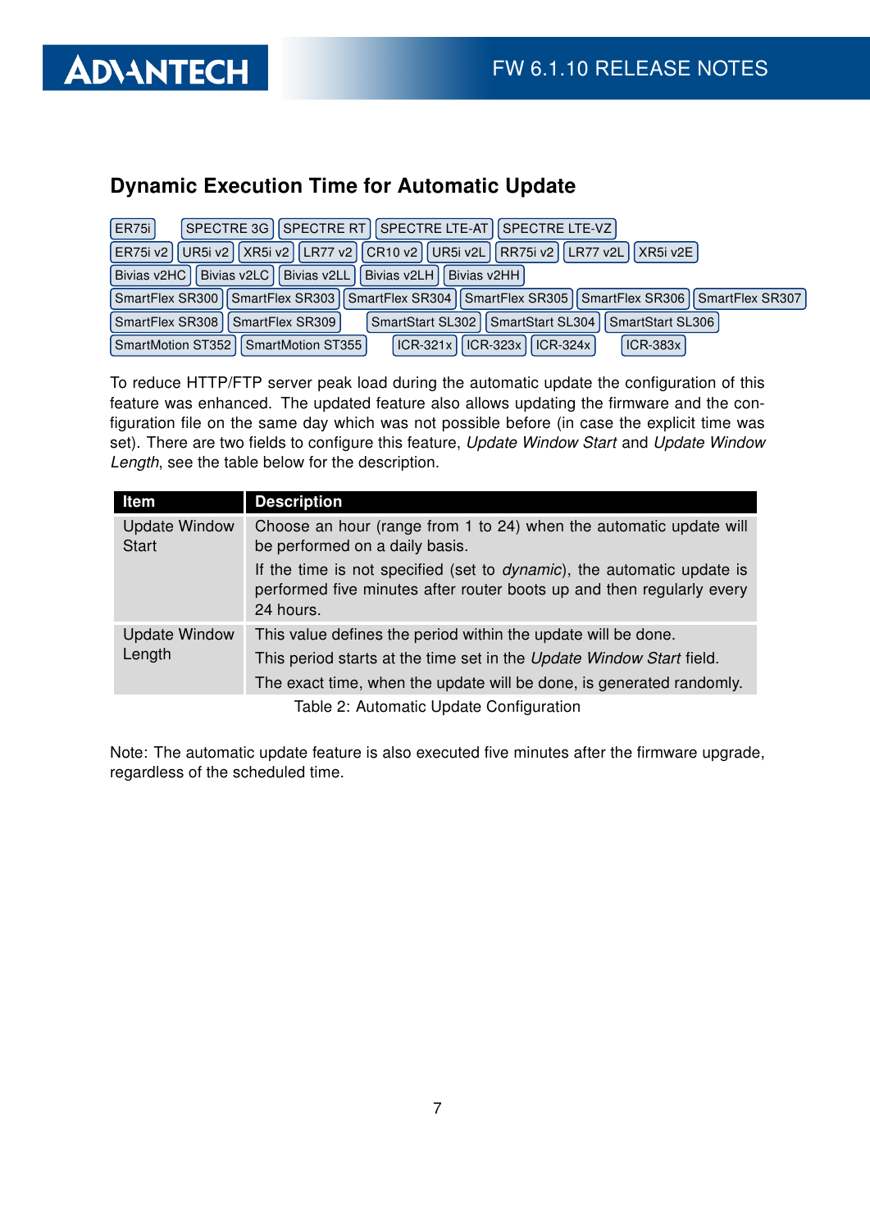### Dynamic Execution Time for Automatic Update

| <b>ER75i</b>    | SPECTRE 3G   SPECTRE RT   SPECTRE LTE-AT   SPECTRE LTE-VZ                                                 |
|-----------------|-----------------------------------------------------------------------------------------------------------|
|                 | ER75i v2   UR5i v2   XR5i v2   LR77 v2   CR10 v2   UR5i v2L   RR75i v2   LR77 v2L   XR5i v2E              |
|                 | Bivias v2HC   Bivias v2LC   Bivias v2LL   Bivias v2LH   Bivias v2HH                                       |
|                 | SmartFlex SR300   SmartFlex SR303   SmartFlex SR304   SmartFlex SR305   SmartFlex SR306   SmartFlex SR307 |
| SmartFlex SR308 | SmartStart SL302   SmartStart SL304   SmartStart SL306<br>I I SmartFlex SR309 I                           |
|                 | ICR-321x    ICR-323x    ICR-324x  <br>SmartMotion ST352   SmartMotion ST355  <br><b>ICR-383x</b>          |

To reduce HTTP/FTP server peak load during the automatic update the configuration of this feature was enhanced. The updated feature also allows updating the firmware and the configuration file on the same day which was not possible before (in case the explicit time was set). There are two fields to configure this feature, Update Window Start and Update Window Length, see the table below for the description.

| Item                                 | <b>Description</b>                                                                                                                                                   |
|--------------------------------------|----------------------------------------------------------------------------------------------------------------------------------------------------------------------|
| <b>Update Window</b><br><b>Start</b> | Choose an hour (range from 1 to 24) when the automatic update will<br>be performed on a daily basis.                                                                 |
|                                      | If the time is not specified (set to <i>dynamic</i> ), the automatic update is<br>performed five minutes after router boots up and then regularly every<br>24 hours. |
| <b>Update Window</b><br>Length       | This value defines the period within the update will be done.                                                                                                        |
|                                      | This period starts at the time set in the Update Window Start field.                                                                                                 |
|                                      | The exact time, when the update will be done, is generated randomly.                                                                                                 |
|                                      | Table 2: Automatic Undate Configuration                                                                                                                              |

Table 2: Automatic Update Configuration

Note: The automatic update feature is also executed five minutes after the firmware upgrade, regardless of the scheduled time.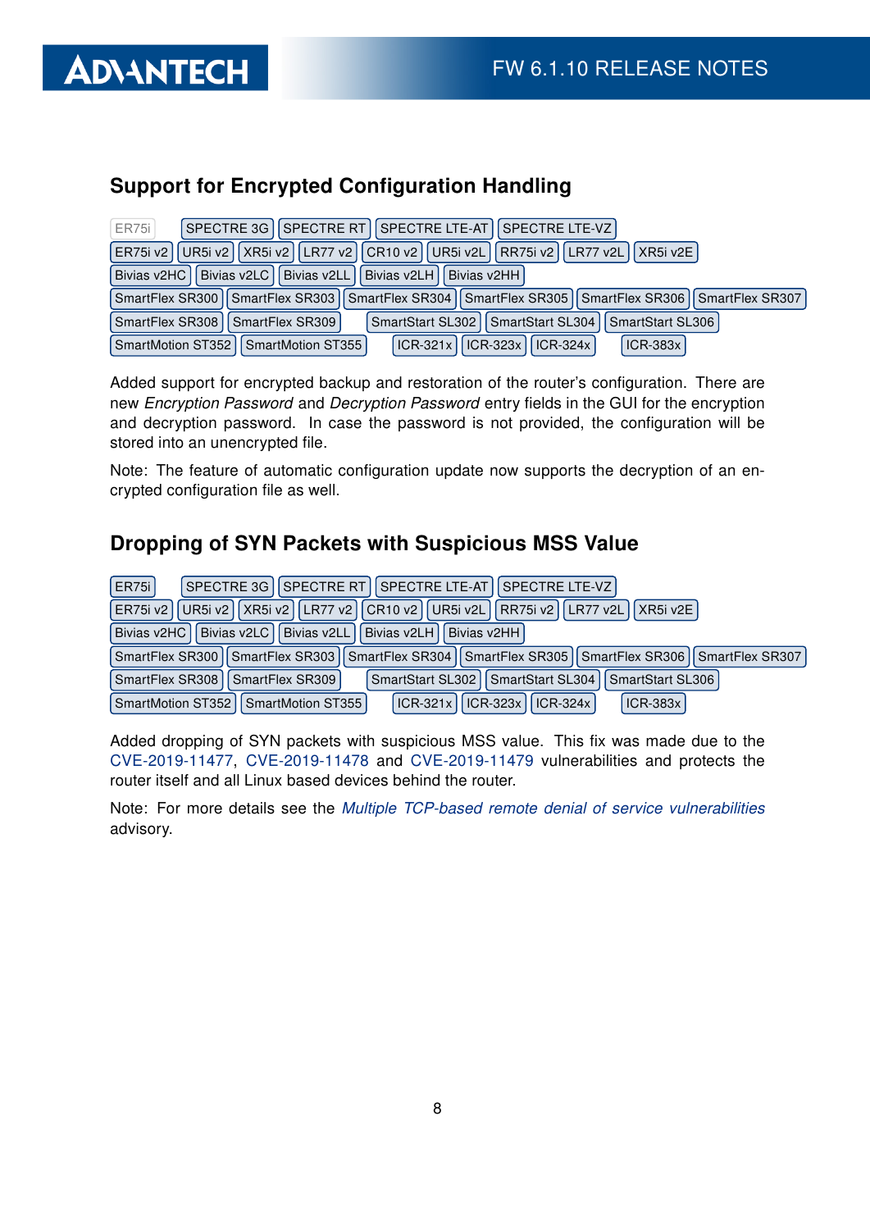

### Support for Encrypted Configuration Handling

| <b>ER75i</b><br>SPECTRE 3G   SPECTRE RT   SPECTRE LTE-AT   SPECTRE LTE-VZ                                 |
|-----------------------------------------------------------------------------------------------------------|
| ER75i v2   UR5i v2   XR5i v2   LR77 v2   CR10 v2   UR5i v2L   RR75i v2   LR77 v2L   XR5i v2E              |
| Bivias v2HC<br>Bivias v2LC   Bivias v2LL   Bivias v2LH   Bivias v2HH                                      |
| SmartFlex SR300   SmartFlex SR303   SmartFlex SR304   SmartFlex SR305   SmartFlex SR306   SmartFlex SR307 |
| SmartFlex SR308   SmartFlex SR309<br>SmartStart SL302   SmartStart SL304  <br>SmartStart SL306            |
| ICR-321x    ICR-323x    ICR-324x  <br>$ICR-383x$<br>SmartMotion ST352   SmartMotion ST355                 |

Added support for encrypted backup and restoration of the router's configuration. There are new Encryption Password and Decryption Password entry fields in the GUI for the encryption and decryption password. In case the password is not provided, the configuration will be stored into an unencrypted file.

Note: The feature of automatic configuration update now supports the decryption of an encrypted configuration file as well.

#### Dropping of SYN Packets with Suspicious MSS Value

| <b>ER75i</b><br>SPECTRE 3G    SPECTRE RT    SPECTRE LTE-AT    SPECTRE LTE-VZ                              |
|-----------------------------------------------------------------------------------------------------------|
| ER75i v2    UR5i v2    XR5i v2    LR77 v2    CR10 v2    UR5i v2L    RR75i v2    LR77 v2L    XR5i v2E      |
| Bivias v2HC   Bivias v2LC   Bivias v2LL   Bivias v2LH   Bivias v2HH                                       |
| SmartFlex SR300   SmartFlex SR303   SmartFlex SR304   SmartFlex SR305   SmartFlex SR306   SmartFlex SR307 |
| SmartStart SL302   SmartStart SL304   SmartStart SL306  <br>SmartFlex SR308<br>SmartFlex SR309            |
| SmartMotion ST352   SmartMotion ST355  <br>ICR-321x   ICR-323x   ICR-324x  <br><b>ICR-383x</b>            |

Added dropping of SYN packets with suspicious MSS value. This fix was made due to the [CVE-2019-11477,](http://www.cvedetails.com/cve/CVE-2019-11477/) [CVE-2019-11478](http://www.cvedetails.com/cve/CVE-2019-11478/) and [CVE-2019-11479](http://www.cvedetails.com/cve/CVE-2019-11479/) vulnerabilities and protects the router itself and all Linux based devices behind the router.

Note: For more details see the [Multiple TCP-based remote denial of service vulnerabilities](https://github.com/Netflix/security-bulletins/blob/master/advisories/third-party/2019-001.md) advisory.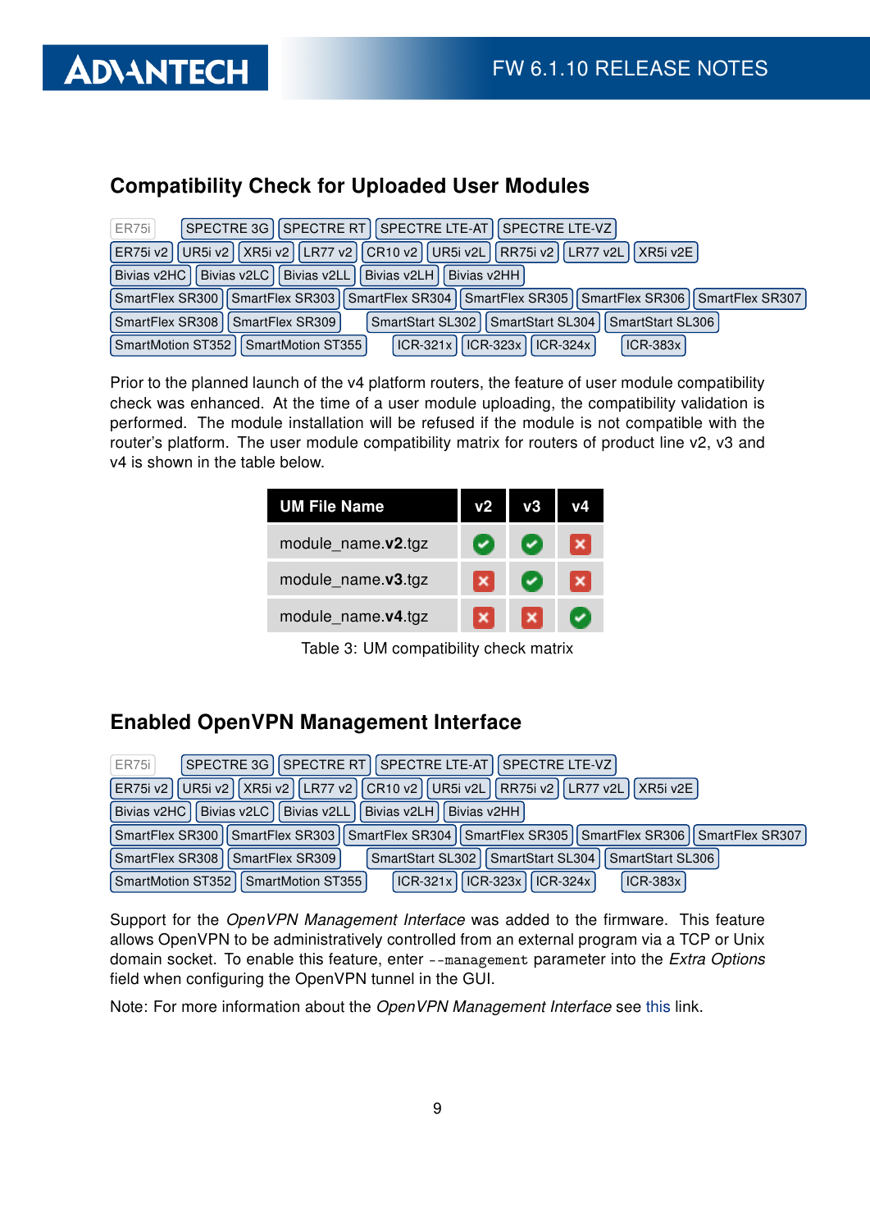

#### Compatibility Check for Uploaded User Modules

| SPECTRE 3G   SPECTRE RT   SPECTRE LTE-AT   SPECTRE LTE-VZ  <br><b>ER75i</b>                               |
|-----------------------------------------------------------------------------------------------------------|
| ER75i v2   UR5i v2   XR5i v2   LR77 v2   CR10 v2   UR5i v2L   RR75i v2   LR77 v2L   XR5i v2E              |
| Bivias v2HC   Bivias v2LC   Bivias v2LL   Bivias v2LH   Bivias v2HH                                       |
| SmartFlex SR300   SmartFlex SR303   SmartFlex SR304   SmartFlex SR305   SmartFlex SR306   SmartFlex SR307 |
| SmartStart SL302   SmartStart SL304   SmartStart SL306  <br>SmartFlex SR308   SmartFlex SR309             |
| ICR-321x    ICR-323x    ICR-324x  <br>SmartMotion ST352   SmartMotion ST355  <br><b>ICR-383x</b>          |

Prior to the planned launch of the v4 platform routers, the feature of user module compatibility check was enhanced. At the time of a user module uploading, the compatibility validation is performed. The module installation will be refused if the module is not compatible with the router's platform. The user module compatibility matrix for routers of product line v2, v3 and v4 is shown in the table below.

| <b>UM File Name</b> | v2 |  |
|---------------------|----|--|
| module_name.v2.tgz  |    |  |
| module_name.v3.tgz  |    |  |
| module_name.v4.tgz  |    |  |

Table 3: UM compatibility check matrix

#### Enabled OpenVPN Management Interface

| ER75i                                                                                                | SPECTRE 3G    SPECTRE RT    SPECTRE LTE-AT    SPECTRE LTE-VZ                                              |  |  |
|------------------------------------------------------------------------------------------------------|-----------------------------------------------------------------------------------------------------------|--|--|
| ER75i v2    UR5i v2    XR5i v2    LR77 v2    CR10 v2    UR5i v2L    RR75i v2    LR77 v2L    XR5i v2E |                                                                                                           |  |  |
|                                                                                                      | Bivias v2HC   Bivias v2LC   Bivias v2LL   Bivias v2LH   Bivias v2HH                                       |  |  |
|                                                                                                      | SmartFlex SR300   SmartFlex SR303   SmartFlex SR304   SmartFlex SR305   SmartFlex SR306   SmartFlex SR307 |  |  |
| SmartFlex SR308                                                                                      | SmartStart SL302   SmartStart SL304<br>SmartStart SL306<br>SmartFlex SR309                                |  |  |
|                                                                                                      | SmartMotion ST352   SmartMotion ST355  <br>$ CR-321x $ $ CR-323x $ $ CR-324x $<br><b>ICR-383x</b>         |  |  |

Support for the OpenVPN Management Interface was added to the firmware. This feature allows OpenVPN to be administratively controlled from an external program via a TCP or Unix domain socket. To enable this feature, enter --management parameter into the Extra Options field when configuring the OpenVPN tunnel in the GUI.

Note: For more information about the OpenVPN Management Interface see [this](https://openvpn.net/community-resources/management-interface/) link.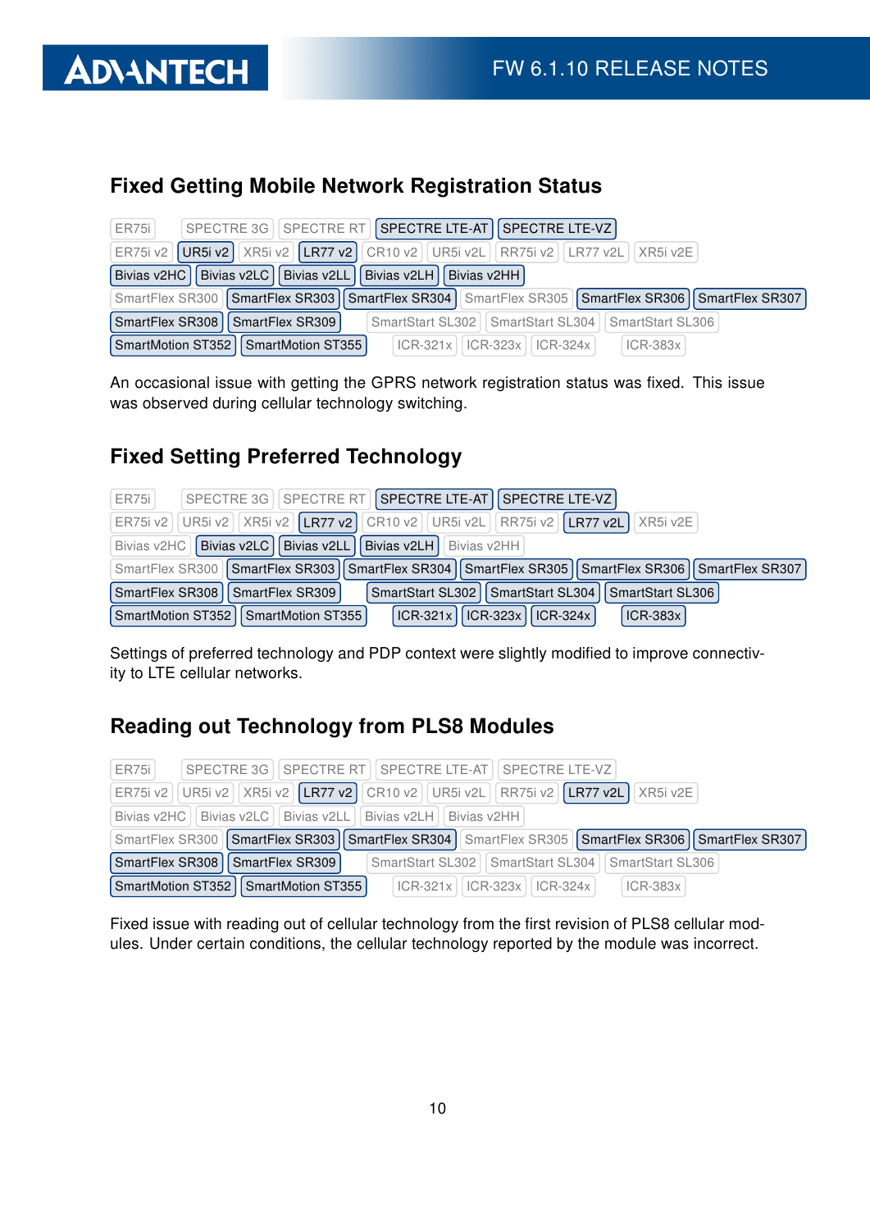

#### Fixed Getting Mobile Network Registration Status

| ER75i | SPECTRE 3G   SPECTRE RT   SPECTRE LTE-AT   SPECTRE LTE-VZ                                                 |
|-------|-----------------------------------------------------------------------------------------------------------|
|       | ER75i v2   UR5i v2   XR5i v2   LR77 v2   CR10 v2   UR5i v2L   RR75i v2   LR77 v2L   XR5i v2E              |
|       | Bivias v2HC   Bivias v2LC   Bivias v2LL   Bivias v2LH   Bivias v2HH                                       |
|       | SmartFlex SR300   SmartFlex SR303   SmartFlex SR304   SmartFlex SR305   SmartFlex SR306   SmartFlex SR307 |
|       | SmartFlex SR308   SmartFlex SR309<br>SmartStart SL302   SmartStart SL304   SmartStart SL306               |
|       | SmartMotion ST352   SmartMotion ST355  <br>$ CR-321x $ $ CR-323x $ $ CR-324x $<br>$ICR-383x$              |

An occasional issue with getting the GPRS network registration status was fixed. This issue was observed during cellular technology switching.

#### Fixed Setting Preferred Technology

| ER75i                                                                                        |                                       | SPECTRE 3G   SPECTRE RT   SPECTRE LTE-AT   SPECTRE LTE-VZ                                                 |  |  |
|----------------------------------------------------------------------------------------------|---------------------------------------|-----------------------------------------------------------------------------------------------------------|--|--|
| ER75i v2   UR5i v2   XR5i v2   LR77 v2   CR10 v2   UR5i v2L   RR75i v2   LR77 v2L   XR5i v2E |                                       |                                                                                                           |  |  |
| Bivias v2HC   Bivias v2LC   Bivias v2LL   Bivias v2LH   Bivias v2HH                          |                                       |                                                                                                           |  |  |
|                                                                                              |                                       | SmartFlex SR300   SmartFlex SR303   SmartFlex SR304   SmartFlex SR305   SmartFlex SR306   SmartFlex SR307 |  |  |
|                                                                                              | SmartFlex SR308   SmartFlex SR309     | SmartStart SL302   SmartStart SL304   SmartStart SL306                                                    |  |  |
|                                                                                              | SmartMotion ST352   SmartMotion ST355 | $ CR-321x $ ICR-323x   ICR-324x  <br><b>ICR-383x</b>                                                      |  |  |

Settings of preferred technology and PDP context were slightly modified to improve connectivity to LTE cellular networks.

### Reading out Technology from PLS8 Modules

| ER75i                                                               | SPECTRE 3G I SPECTRE RT I SPECTRE LTE-AT I SPECTRE LTE-VZ                                                 |  |  |  |
|---------------------------------------------------------------------|-----------------------------------------------------------------------------------------------------------|--|--|--|
|                                                                     | ER75i v2   UR5i v2   XR5i v2   LR77 v2   CR10 v2   UR5i v2L   RR75i v2   LR77 v2L   XR5i v2E              |  |  |  |
| Bivias v2HC   Bivias v2LC   Bivias v2LL   Bivias v2LH   Bivias v2HH |                                                                                                           |  |  |  |
|                                                                     | SmartFlex SR300   SmartFlex SR303   SmartFlex SR304   SmartFlex SR305   SmartFlex SR306   SmartFlex SR307 |  |  |  |
| SmartFlex SR308   SmartFlex SR309                                   | SmartStart SL302   SmartStart SL304   SmartStart SL306                                                    |  |  |  |
| SmartMotion ST352   SmartMotion ST355                               | $ ICR-321x   ICR-323x   ICR-324x $<br>$ICR-383x$                                                          |  |  |  |

Fixed issue with reading out of cellular technology from the first revision of PLS8 cellular modules. Under certain conditions, the cellular technology reported by the module was incorrect.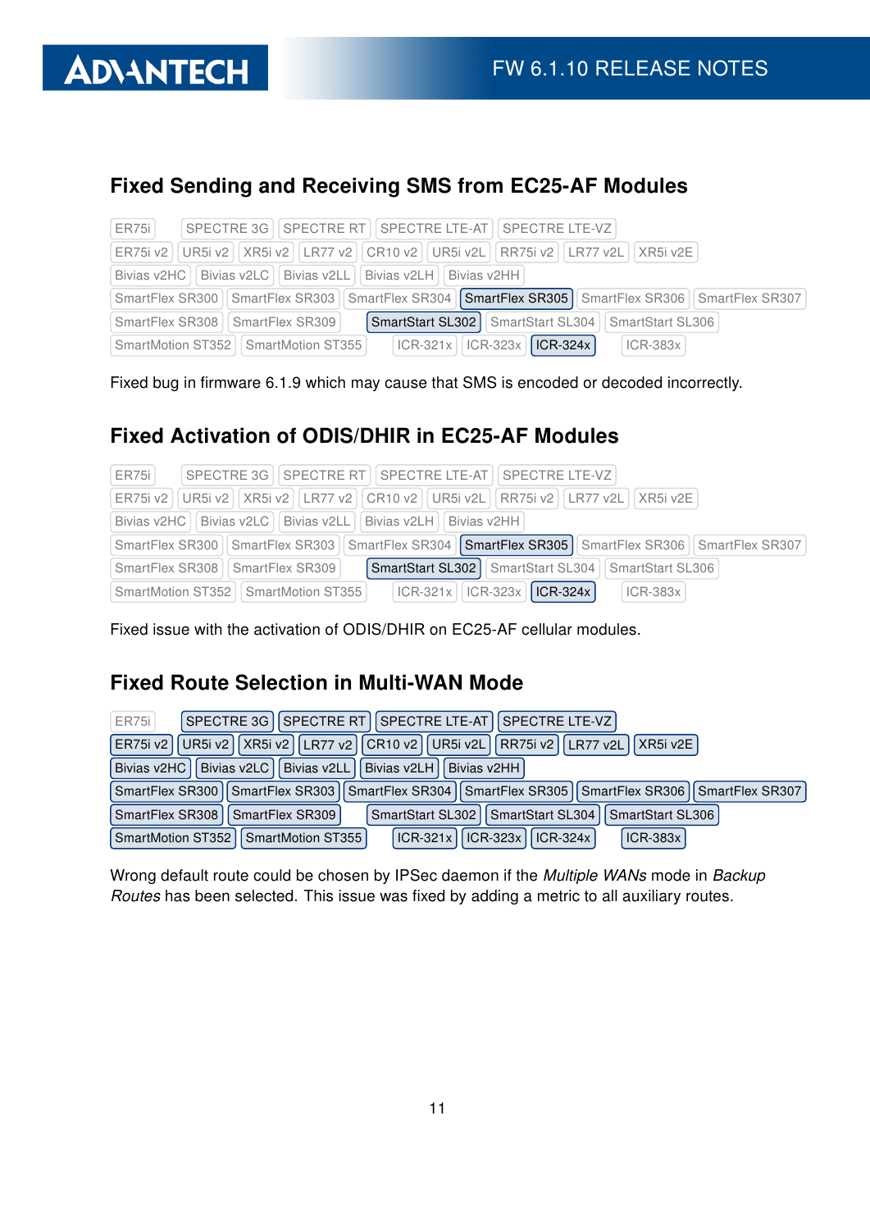### Fixed Sending and Receiving SMS from EC25-AF Modules

| SPECTRE 3G   SPECTRE RT   SPECTRE LTE-AT   SPECTRE LTE-VZ  <br>ER751                                      |  |  |  |  |
|-----------------------------------------------------------------------------------------------------------|--|--|--|--|
| ER75i v2   UR5i v2   XR5i v2   LR77 v2   CR10 v2   UR5i v2L   RR75i v2   LR77 v2L   XR5i v2E              |  |  |  |  |
| Bivias v2HC   Bivias v2LC   Bivias v2LL   Bivias v2LH   Bivias v2HH                                       |  |  |  |  |
| SmartFlex SR300   SmartFlex SR303   SmartFlex SR304   SmartFlex SR305   SmartFlex SR306   SmartFlex SR307 |  |  |  |  |
| SmartStart SL302   SmartStart SL304   SmartStart SL306  <br>SmartFlex SR308   SmartFlex SR309             |  |  |  |  |
| $ICR-321x$   $ICR-323x$   $ICR-324x$  <br>SmartMotion ST352   SmartMotion ST355  <br>$ ICR-383x $         |  |  |  |  |

Fixed bug in firmware 6.1.9 which may cause that SMS is encoded or decoded incorrectly.

### Fixed Activation of ODIS/DHIR in EC25-AF Modules

| SPECTRE 3G   SPECTRE RT   SPECTRE LTE-AT   SPECTRE LTE-VZ  <br>ER751                                      |  |  |  |  |
|-----------------------------------------------------------------------------------------------------------|--|--|--|--|
| ER75i v2   UR5i v2   XR5i v2   LR77 v2   CR10 v2   UR5i v2L   RR75i v2   LR77 v2L   XR5i v2E              |  |  |  |  |
| Bivias v2HC   Bivias v2LC   Bivias v2LL   Bivias v2LH   Bivias v2HH                                       |  |  |  |  |
| SmartFlex SR300   SmartFlex SR303   SmartFlex SR304   SmartFlex SR305   SmartFlex SR306   SmartFlex SR307 |  |  |  |  |
| SmartStart SL302   SmartStart SL304   SmartStart SL306<br>SmartFlex SR308   SmartFlex SR309               |  |  |  |  |
| $ ICR-321x $ $ ICR-323x $ $ ICR-324x $<br>$ICR-383x$<br>SmartMotion ST352   SmartMotion ST355             |  |  |  |  |

Fixed issue with the activation of ODIS/DHIR on EC25-AF cellular modules.

### Fixed Route Selection in Multi-WAN Mode

| <b>ER75i</b><br>SPECTRE 3G   SPECTRE RT   SPECTRE LTE-AT   SPECTRE LTE-VZ                                 |  |  |  |  |
|-----------------------------------------------------------------------------------------------------------|--|--|--|--|
| ER75i v2   UR5i v2   XR5i v2   LR77 v2   CR10 v2   UR5i v2L   RR75i v2   LR77 v2L   XR5i v2E              |  |  |  |  |
| Bivias v2HC   Bivias v2LC   Bivias v2LL   Bivias v2LH  <br><b>Bivias v2HH</b>                             |  |  |  |  |
| SmartFlex SR300   SmartFlex SR303   SmartFlex SR304   SmartFlex SR305   SmartFlex SR306   SmartFlex SR307 |  |  |  |  |
| SmartStart SL302   SmartStart SL304  <br>SmartFlex SR308<br>SmartStart SL306<br>SmartFlex SR309           |  |  |  |  |
| $ CR-321x $ $ CR-323x $ $ CR-324x $<br>SmartMotion ST352   SmartMotion ST355  <br>$ ICR-383x $            |  |  |  |  |

Wrong default route could be chosen by IPSec daemon if the Multiple WANs mode in Backup Routes has been selected. This issue was fixed by adding a metric to all auxiliary routes.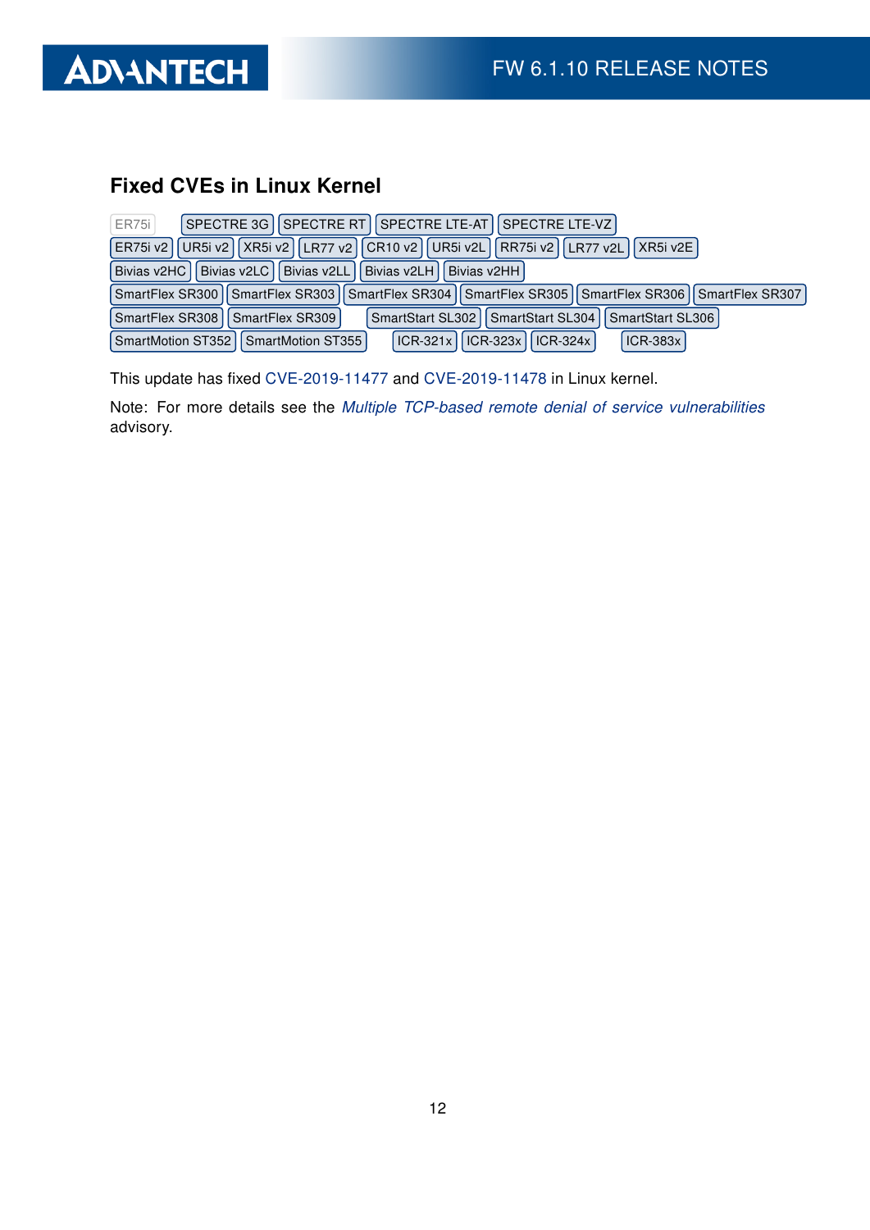

#### Fixed CVEs in Linux Kernel

| <b>ER75i</b>                                                                                         | SPECTRE 3G   SPECTRE RT   SPECTRE LTE-AT   SPECTRE LTE-VZ                                                 |  |  |  |
|------------------------------------------------------------------------------------------------------|-----------------------------------------------------------------------------------------------------------|--|--|--|
| ER75i v2    UR5i v2    XR5i v2    LR77 v2    CR10 v2    UR5i v2L    RR75i v2    LR77 v2L    XR5i v2E |                                                                                                           |  |  |  |
| Bivias v2HC<br>Bivias v2LC II<br>Bivias v2LL   Bivias v2LH  <br>Bivias v2HH                          |                                                                                                           |  |  |  |
|                                                                                                      | SmartFlex SR300   SmartFlex SR303   SmartFlex SR304   SmartFlex SR305   SmartFlex SR306   SmartFlex SR307 |  |  |  |
| SmartFlex SR308                                                                                      | SmartStart SL302   SmartStart SL304  <br>SmartStart SL306<br>SmartFlex SR309                              |  |  |  |
|                                                                                                      | ICR-321x    ICR-323x    ICR-324x  <br><b>ICR-383x</b><br>SmartMotion ST352   SmartMotion ST355            |  |  |  |

This update has fixed [CVE-2019-11477](http://www.cvedetails.com/cve/CVE-2019-11477/) and [CVE-2019-11478](http://www.cvedetails.com/cve/CVE-2019-11478/) in Linux kernel.

Note: For more details see the [Multiple TCP-based remote denial of service vulnerabilities](https://github.com/Netflix/security-bulletins/blob/master/advisories/third-party/2019-001.md) advisory.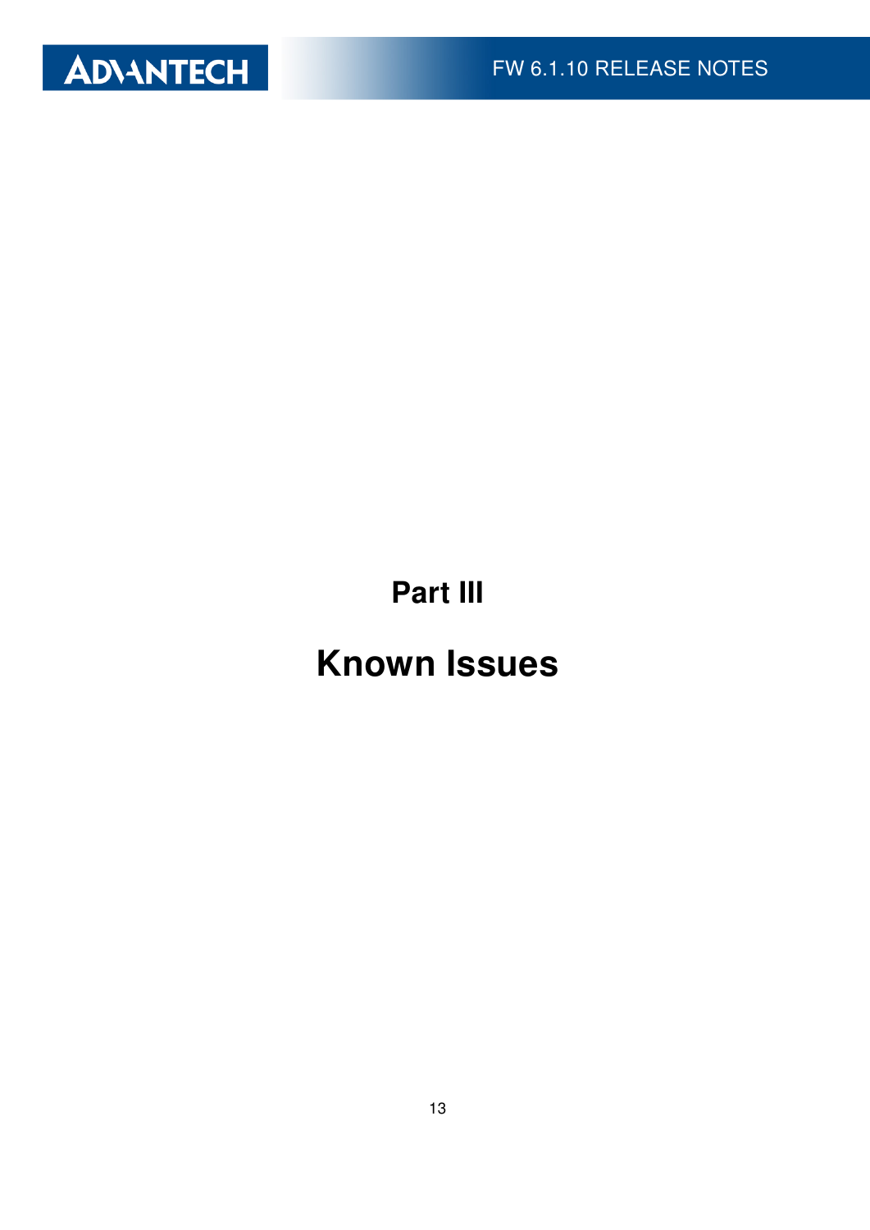

Part III

# Known Issues